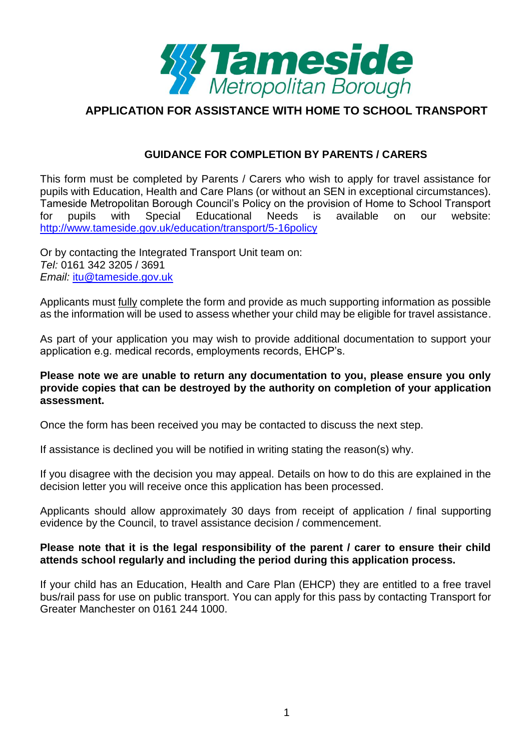

#### **GUIDANCE FOR COMPLETION BY PARENTS / CARERS**

This form must be completed by Parents / Carers who wish to apply for travel assistance for pupils with Education, Health and Care Plans (or without an SEN in exceptional circumstances). Tameside Metropolitan Borough Council's Policy on the provision of Home to School Transport for pupils with Special Educational Needs is available on our website: <http://www.tameside.gov.uk/education/transport/5-16policy>

Or by contacting the Integrated Transport Unit team on: *Tel:* 0161 342 3205 / 3691 *Email:* [itu@tameside.gov.uk](mailto:itu@tameside.gov.uk)

Applicants must fully complete the form and provide as much supporting information as possible as the information will be used to assess whether your child may be eligible for travel assistance.

As part of your application you may wish to provide additional documentation to support your application e.g. medical records, employments records, EHCP's.

#### **Please note we are unable to return any documentation to you, please ensure you only provide copies that can be destroyed by the authority on completion of your application assessment.**

Once the form has been received you may be contacted to discuss the next step.

If assistance is declined you will be notified in writing stating the reason(s) why.

If you disagree with the decision you may appeal. Details on how to do this are explained in the decision letter you will receive once this application has been processed.

Applicants should allow approximately 30 days from receipt of application / final supporting evidence by the Council, to travel assistance decision / commencement.

#### **Please note that it is the legal responsibility of the parent / carer to ensure their child attends school regularly and including the period during this application process.**

If your child has an Education, Health and Care Plan (EHCP) they are entitled to a free travel bus/rail pass for use on public transport. You can apply for this pass by contacting Transport for Greater Manchester on 0161 244 1000.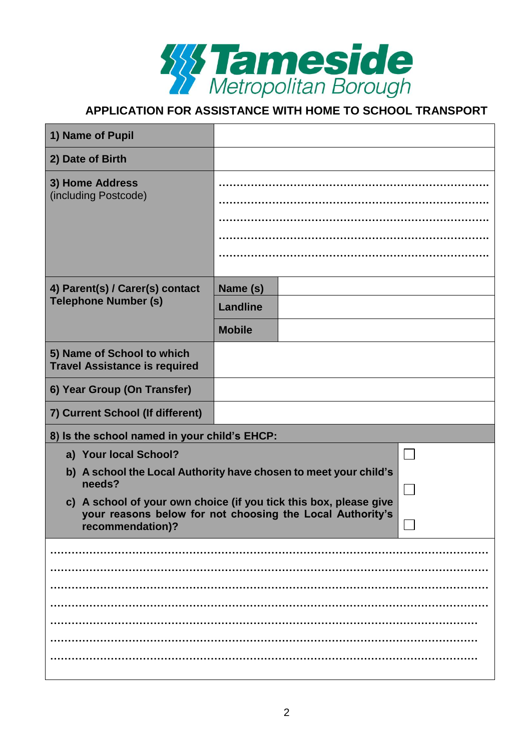

| 1) Name of Pupil                                                           |                                                                     |  |
|----------------------------------------------------------------------------|---------------------------------------------------------------------|--|
| 2) Date of Birth                                                           |                                                                     |  |
| 3) Home Address<br>(including Postcode)                                    |                                                                     |  |
| 4) Parent(s) / Carer(s) contact<br><b>Telephone Number (s)</b>             | Name (s)                                                            |  |
|                                                                            | <b>Landline</b>                                                     |  |
|                                                                            | <b>Mobile</b>                                                       |  |
| 5) Name of School to which<br><b>Travel Assistance is required</b>         |                                                                     |  |
| 6) Year Group (On Transfer)                                                |                                                                     |  |
| 7) Current School (If different)                                           |                                                                     |  |
| 8) Is the school named in your child's EHCP:                               |                                                                     |  |
| a) Your local School?                                                      |                                                                     |  |
| b) A school the Local Authority have chosen to meet your child's<br>needs? |                                                                     |  |
| c) A school of your own choice (if you tick this box, please give          |                                                                     |  |
| recommendation)?                                                           | your reasons below for not choosing the Local Authority's<br>$\Box$ |  |
|                                                                            |                                                                     |  |
|                                                                            |                                                                     |  |
|                                                                            |                                                                     |  |
|                                                                            |                                                                     |  |
|                                                                            |                                                                     |  |
|                                                                            |                                                                     |  |
|                                                                            |                                                                     |  |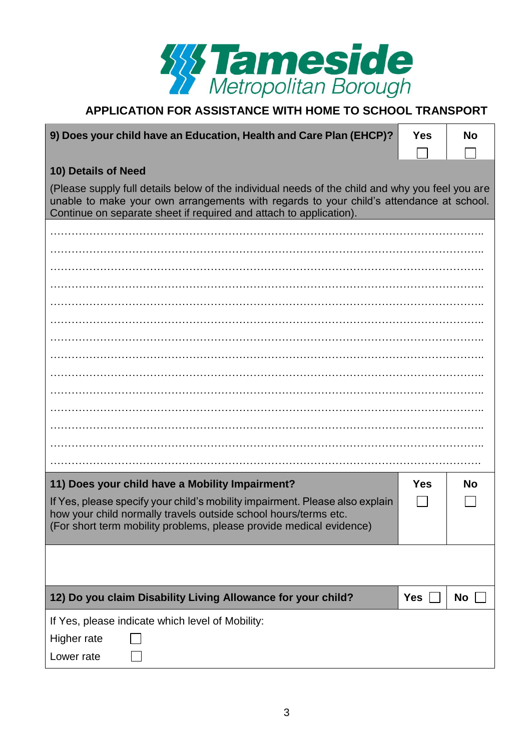

| 9) Does your child have an Education, Health and Care Plan (EHCP)?<br><b>Yes</b><br><b>No</b>                                                                                                                                                                    |            |           |
|------------------------------------------------------------------------------------------------------------------------------------------------------------------------------------------------------------------------------------------------------------------|------------|-----------|
|                                                                                                                                                                                                                                                                  |            |           |
| 10) Details of Need                                                                                                                                                                                                                                              |            |           |
| (Please supply full details below of the individual needs of the child and why you feel you are<br>unable to make your own arrangements with regards to your child's attendance at school.<br>Continue on separate sheet if required and attach to application). |            |           |
|                                                                                                                                                                                                                                                                  |            |           |
|                                                                                                                                                                                                                                                                  |            |           |
|                                                                                                                                                                                                                                                                  |            |           |
|                                                                                                                                                                                                                                                                  |            |           |
|                                                                                                                                                                                                                                                                  |            |           |
|                                                                                                                                                                                                                                                                  |            |           |
|                                                                                                                                                                                                                                                                  |            |           |
|                                                                                                                                                                                                                                                                  |            |           |
|                                                                                                                                                                                                                                                                  |            |           |
|                                                                                                                                                                                                                                                                  |            |           |
|                                                                                                                                                                                                                                                                  |            |           |
|                                                                                                                                                                                                                                                                  |            |           |
|                                                                                                                                                                                                                                                                  |            |           |
|                                                                                                                                                                                                                                                                  |            |           |
| 11) Does your child have a Mobility Impairment?                                                                                                                                                                                                                  | <b>Yes</b> | <b>No</b> |
| If Yes, please specify your child's mobility impairment. Please also explain<br>how your child normally travels outside school hours/terms etc.                                                                                                                  |            |           |
| (For short term mobility problems, please provide medical evidence)                                                                                                                                                                                              |            |           |
|                                                                                                                                                                                                                                                                  |            |           |
|                                                                                                                                                                                                                                                                  |            |           |
|                                                                                                                                                                                                                                                                  |            |           |
| 12) Do you claim Disability Living Allowance for your child?                                                                                                                                                                                                     | Yes        | No        |
| If Yes, please indicate which level of Mobility:                                                                                                                                                                                                                 |            |           |
| Higher rate                                                                                                                                                                                                                                                      |            |           |
| Lower rate                                                                                                                                                                                                                                                       |            |           |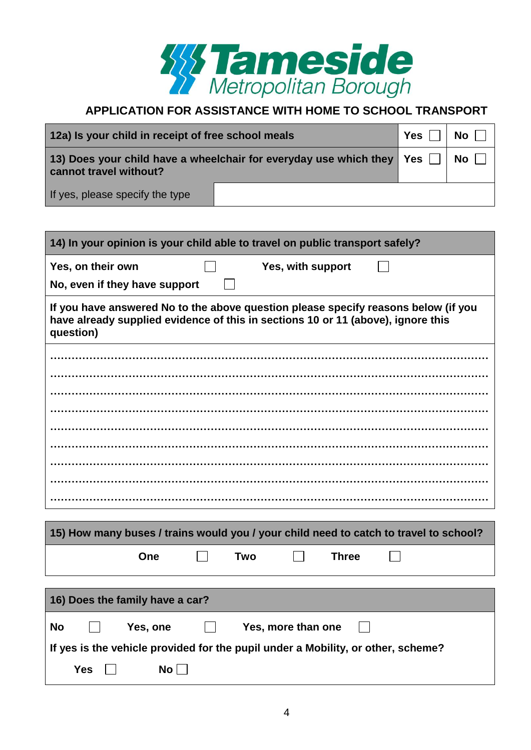

| 12a) Is your child in receipt of free school meals                                                |  | Yes | No l |
|---------------------------------------------------------------------------------------------------|--|-----|------|
| 13) Does your child have a wheelchair for everyday use which they   Yes<br>cannot travel without? |  |     | No l |
| If yes, please specify the type                                                                   |  |     |      |

| 14) In your opinion is your child able to travel on public transport safely?                                                                                                        |  |  |
|-------------------------------------------------------------------------------------------------------------------------------------------------------------------------------------|--|--|
| Yes, on their own<br>Yes, with support<br>No, even if they have support                                                                                                             |  |  |
| If you have answered No to the above question please specify reasons below (if you<br>have already supplied evidence of this in sections 10 or 11 (above), ignore this<br>question) |  |  |
|                                                                                                                                                                                     |  |  |
| 15) How many buses / trains would you / your child need to catch to travel to school?                                                                                               |  |  |
| <b>Two</b><br><b>Three</b><br>One                                                                                                                                                   |  |  |
| 16) Does the family have a car?                                                                                                                                                     |  |  |
| <b>No</b><br>Yes, one<br>Yes, more than one<br>If yes is the vehicle provided for the pupil under a Mobility, or other, scheme?<br><b>Yes</b><br>No                                 |  |  |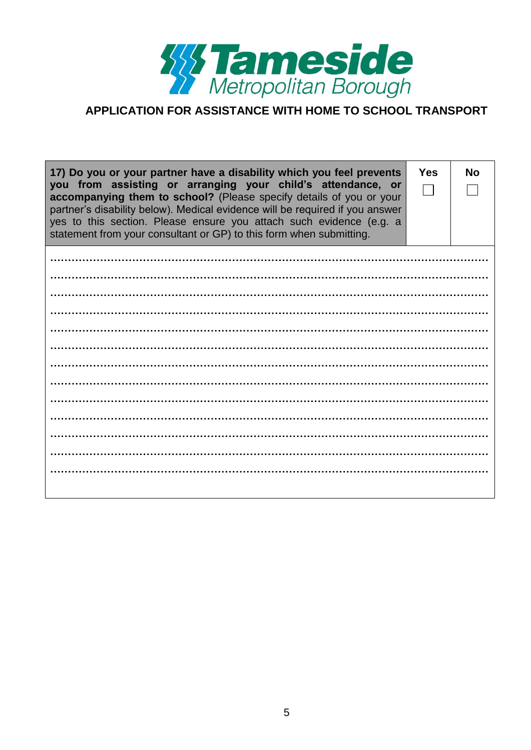

| 17) Do you or your partner have a disability which you feel prevents<br>you from assisting or arranging your child's attendance, or<br>accompanying them to school? (Please specify details of you or your<br>partner's disability below). Medical evidence will be required if you answer<br>yes to this section. Please ensure you attach such evidence (e.g. a<br>statement from your consultant or GP) to this form when submitting. | <b>Yes</b> | <b>No</b> |
|------------------------------------------------------------------------------------------------------------------------------------------------------------------------------------------------------------------------------------------------------------------------------------------------------------------------------------------------------------------------------------------------------------------------------------------|------------|-----------|
|                                                                                                                                                                                                                                                                                                                                                                                                                                          |            |           |
|                                                                                                                                                                                                                                                                                                                                                                                                                                          |            |           |
|                                                                                                                                                                                                                                                                                                                                                                                                                                          |            |           |
|                                                                                                                                                                                                                                                                                                                                                                                                                                          |            |           |
|                                                                                                                                                                                                                                                                                                                                                                                                                                          |            |           |
|                                                                                                                                                                                                                                                                                                                                                                                                                                          |            |           |
|                                                                                                                                                                                                                                                                                                                                                                                                                                          |            |           |
|                                                                                                                                                                                                                                                                                                                                                                                                                                          |            |           |
|                                                                                                                                                                                                                                                                                                                                                                                                                                          |            |           |
|                                                                                                                                                                                                                                                                                                                                                                                                                                          |            |           |
|                                                                                                                                                                                                                                                                                                                                                                                                                                          |            |           |
|                                                                                                                                                                                                                                                                                                                                                                                                                                          |            |           |
|                                                                                                                                                                                                                                                                                                                                                                                                                                          |            |           |
|                                                                                                                                                                                                                                                                                                                                                                                                                                          |            |           |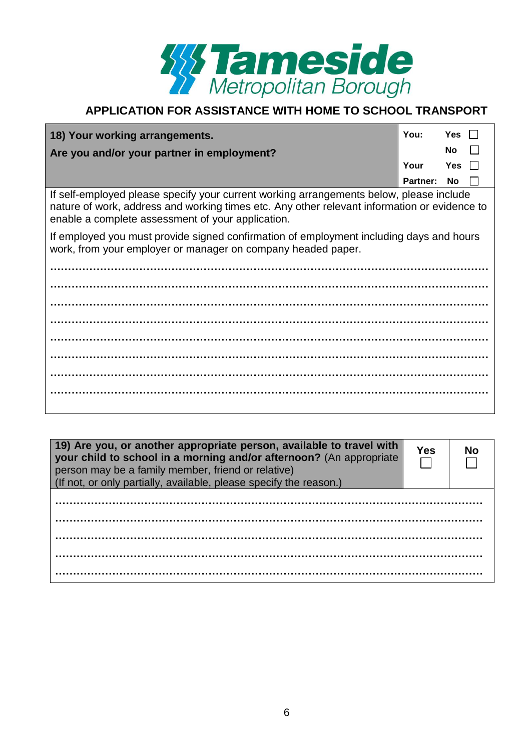

| 18) Your working arrangements.                                                          | You:                   | Yes $  $   |  |
|-----------------------------------------------------------------------------------------|------------------------|------------|--|
| Are you and/or your partner in employment?                                              |                        | $No$ $  $  |  |
|                                                                                         | Your                   | $Yes \Box$ |  |
|                                                                                         | <b>Partner: No    </b> |            |  |
| If self-employed please specify your current working arrangements below, please include |                        |            |  |

nature of work, address and working times etc. Any other relevant information or evidence to enable a complete assessment of your application.

If employed you must provide signed confirmation of employment including days and hours work, from your employer or manager on company headed paper.

| 19) Are you, or another appropriate person, available to travel with<br>your child to school in a morning and/or afternoon? (An appropriate<br>person may be a family member, friend or relative)<br>(If not, or only partially, available, please specify the reason.) | Yes |  |
|-------------------------------------------------------------------------------------------------------------------------------------------------------------------------------------------------------------------------------------------------------------------------|-----|--|
|                                                                                                                                                                                                                                                                         |     |  |
|                                                                                                                                                                                                                                                                         |     |  |
|                                                                                                                                                                                                                                                                         |     |  |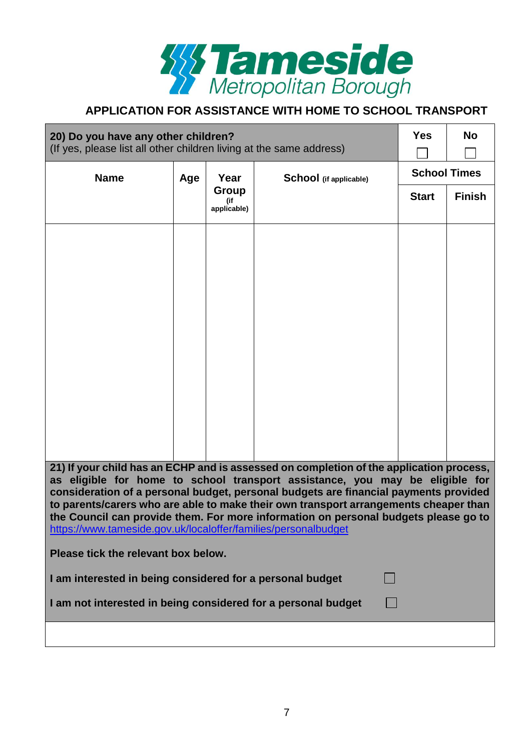

| 20) Do you have any other children?<br>(If yes, please list all other children living at the same address)                                                                                                                                                                                                                                                                                                                                                                                                       |     |                             | <b>Yes</b>             | <b>No</b>           |               |  |
|------------------------------------------------------------------------------------------------------------------------------------------------------------------------------------------------------------------------------------------------------------------------------------------------------------------------------------------------------------------------------------------------------------------------------------------------------------------------------------------------------------------|-----|-----------------------------|------------------------|---------------------|---------------|--|
| <b>Name</b>                                                                                                                                                                                                                                                                                                                                                                                                                                                                                                      | Age | Year                        | School (if applicable) | <b>School Times</b> |               |  |
|                                                                                                                                                                                                                                                                                                                                                                                                                                                                                                                  |     | Group<br>(if<br>applicable) |                        | <b>Start</b>        | <b>Finish</b> |  |
|                                                                                                                                                                                                                                                                                                                                                                                                                                                                                                                  |     |                             |                        |                     |               |  |
|                                                                                                                                                                                                                                                                                                                                                                                                                                                                                                                  |     |                             |                        |                     |               |  |
|                                                                                                                                                                                                                                                                                                                                                                                                                                                                                                                  |     |                             |                        |                     |               |  |
|                                                                                                                                                                                                                                                                                                                                                                                                                                                                                                                  |     |                             |                        |                     |               |  |
|                                                                                                                                                                                                                                                                                                                                                                                                                                                                                                                  |     |                             |                        |                     |               |  |
|                                                                                                                                                                                                                                                                                                                                                                                                                                                                                                                  |     |                             |                        |                     |               |  |
|                                                                                                                                                                                                                                                                                                                                                                                                                                                                                                                  |     |                             |                        |                     |               |  |
|                                                                                                                                                                                                                                                                                                                                                                                                                                                                                                                  |     |                             |                        |                     |               |  |
| 21) If your child has an ECHP and is assessed on completion of the application process,<br>as eligible for home to school transport assistance, you may be eligible for<br>consideration of a personal budget, personal budgets are financial payments provided<br>to parents/carers who are able to make their own transport arrangements cheaper than<br>the Council can provide them. For more information on personal budgets please go to<br>https://www.tameside.gov.uk/localoffer/families/personalbudget |     |                             |                        |                     |               |  |
| Please tick the relevant box below.                                                                                                                                                                                                                                                                                                                                                                                                                                                                              |     |                             |                        |                     |               |  |
| I am interested in being considered for a personal budget                                                                                                                                                                                                                                                                                                                                                                                                                                                        |     |                             |                        |                     |               |  |
| I am not interested in being considered for a personal budget                                                                                                                                                                                                                                                                                                                                                                                                                                                    |     |                             |                        |                     |               |  |
|                                                                                                                                                                                                                                                                                                                                                                                                                                                                                                                  |     |                             |                        |                     |               |  |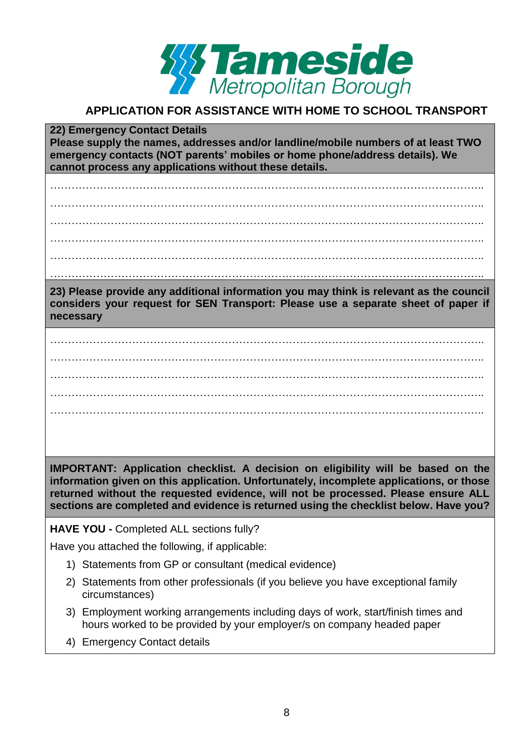

**22) Emergency Contact Details Please supply the names, addresses and/or landline/mobile numbers of at least TWO emergency contacts (NOT parents' mobiles or home phone/address details). We cannot process any applications without these details.**

………………………………………………………………………………………………………….. ………………………………………………………………………………………………………….. ………………………………………………………………………………………………………….. ………………………………………………………………………………………………………….. …………………………………………………………………………………………………………..

…………………………………………………………………………………………………………..

**23) Please provide any additional information you may think is relevant as the council considers your request for SEN Transport: Please use a separate sheet of paper if necessary**

………………………………………………………………………………………………………….. ………………………………………………………………………………………………………….. ………………………………………………………………………………………………………….. ………………………………………………………………………………………………………….. …………………………………………………………………………………………………………..

**IMPORTANT: Application checklist. A decision on eligibility will be based on the information given on this application. Unfortunately, incomplete applications, or those returned without the requested evidence, will not be processed. Please ensure ALL sections are completed and evidence is returned using the checklist below. Have you?**

**HAVE YOU -** Completed ALL sections fully?

Have you attached the following, if applicable:

- 1) Statements from GP or consultant (medical evidence)
- 2) Statements from other professionals (if you believe you have exceptional family circumstances)
- 3) Employment working arrangements including days of work, start/finish times and hours worked to be provided by your employer/s on company headed paper
- 4) Emergency Contact details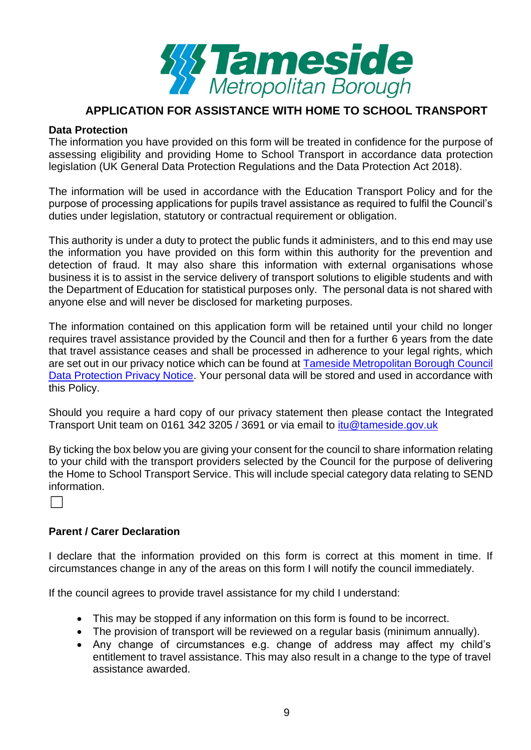

#### **Data Protection**

The information you have provided on this form will be treated in confidence for the purpose of assessing eligibility and providing Home to School Transport in accordance data protection legislation (UK General Data Protection Regulations and the Data Protection Act 2018).

The information will be used in accordance with the Education Transport Policy and for the purpose of processing applications for pupils travel assistance as required to fulfil the Council's duties under legislation, statutory or contractual requirement or obligation.

This authority is under a duty to protect the public funds it administers, and to this end may use the information you have provided on this form within this authority for the prevention and detection of fraud. It may also share this information with external organisations whose business it is to assist in the service delivery of transport solutions to eligible students and with the Department of Education for statistical purposes only. The personal data is not shared with anyone else and will never be disclosed for marketing purposes.

The information contained on this application form will be retained until your child no longer requires travel assistance provided by the Council and then for a further 6 years from the date that travel assistance ceases and shall be processed in adherence to your legal rights, which are set out in our privacy notice which can be found at [Tameside Metropolitan Borough Council](https://www.tameside.gov.uk/dataprotection/PrivacyNotice)  [Data Protection Privacy Notice.](https://www.tameside.gov.uk/dataprotection/PrivacyNotice) Your personal data will be stored and used in accordance with this Policy.

Should you require a hard copy of our privacy statement then please contact the Integrated Transport Unit team on 0161 342 3205 / 3691 or via email to [itu@tameside.gov.uk](mailto:itu@tameside.gov.uk)

By ticking the box below you are giving your consent for the council to share information relating to your child with the transport providers selected by the Council for the purpose of delivering the Home to School Transport Service. This will include special category data relating to SEND information.

 $\Box$ 

#### **Parent / Carer Declaration**

I declare that the information provided on this form is correct at this moment in time. If circumstances change in any of the areas on this form I will notify the council immediately.

If the council agrees to provide travel assistance for my child I understand:

- This may be stopped if any information on this form is found to be incorrect.
- The provision of transport will be reviewed on a regular basis (minimum annually).
- Any change of circumstances e.g. change of address may affect my child's entitlement to travel assistance. This may also result in a change to the type of travel assistance awarded.